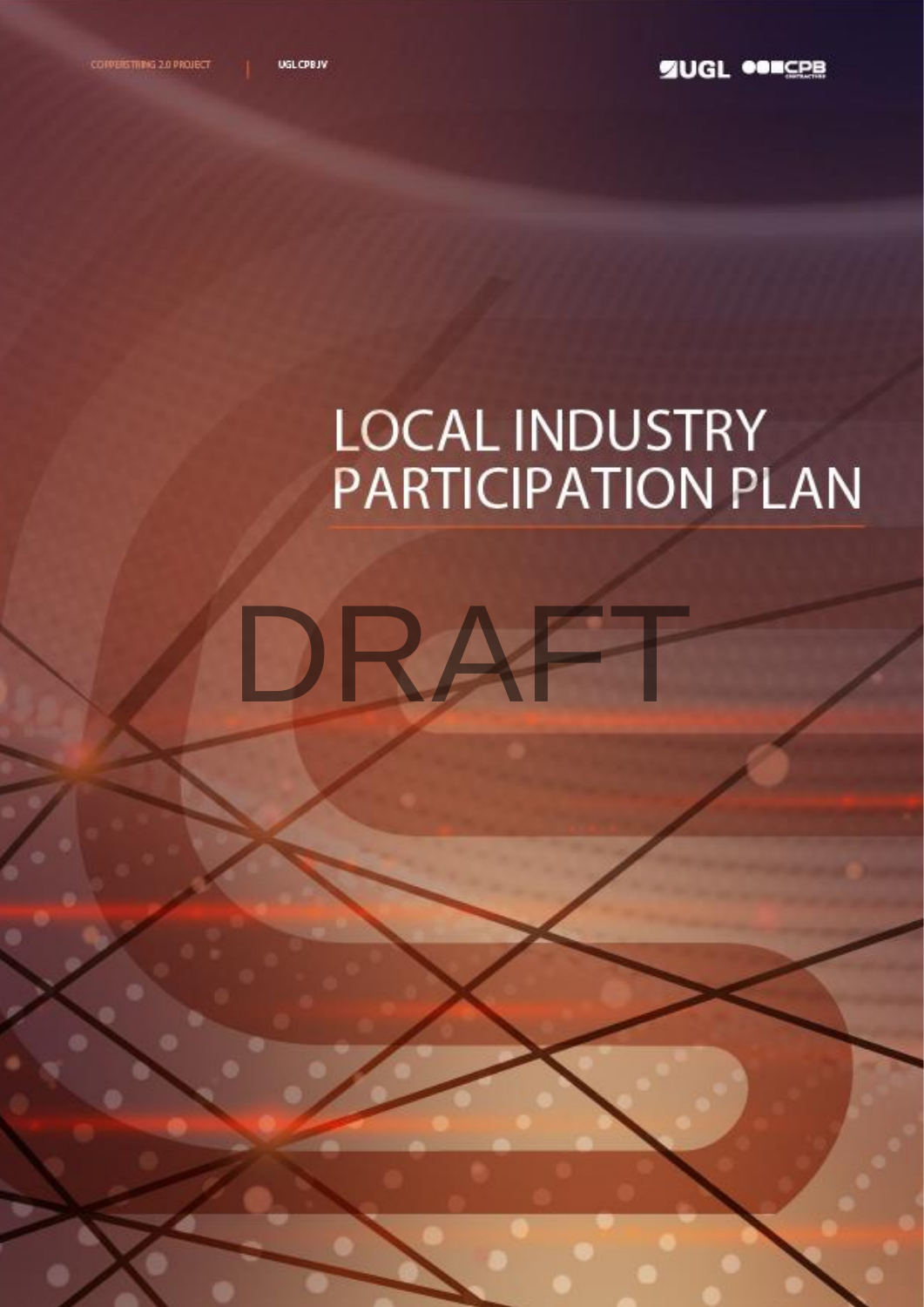DRA

# **LOCAL INDUSTRY PARTICIPATION PLAN**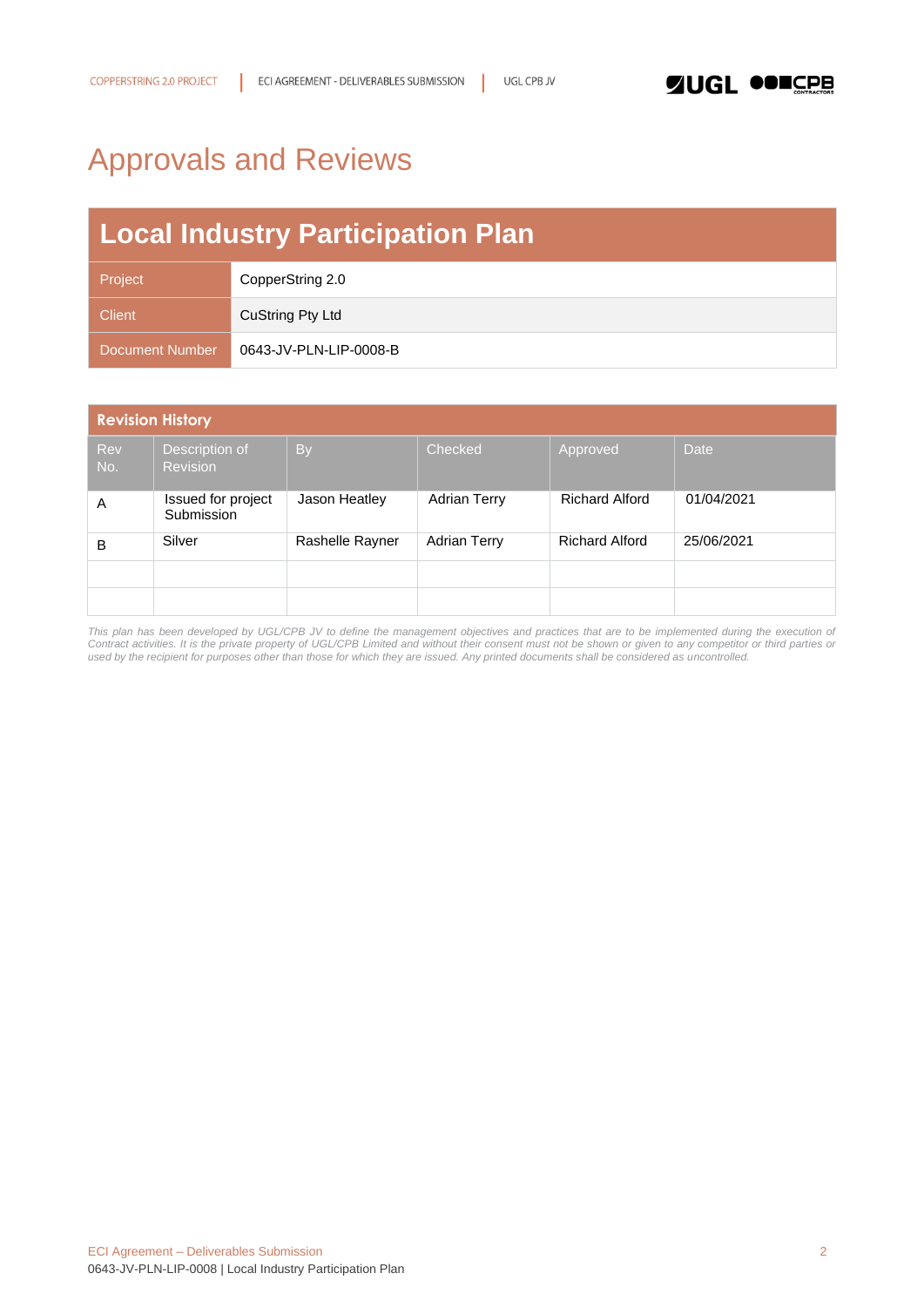# <span id="page-1-0"></span>Approvals and Reviews

# **Local Industry Participation Plan**

| Project         | CopperString 2.0       |
|-----------------|------------------------|
| <b>Client</b>   | CuString Pty Ltd       |
| Document Number | 0643-JV-PLN-LIP-0008-B |

| <b>Revision History</b> |                                   |                 |                     |                       |            |  |  |  |
|-------------------------|-----------------------------------|-----------------|---------------------|-----------------------|------------|--|--|--|
| <b>Rev</b><br>No.       | Description of<br><b>Revision</b> | <b>By</b>       | Checked             | Approved              | Date       |  |  |  |
| A                       | Issued for project<br>Submission  | Jason Heatley   | <b>Adrian Terry</b> | <b>Richard Alford</b> | 01/04/2021 |  |  |  |
| B                       | Silver                            | Rashelle Rayner | <b>Adrian Terry</b> | <b>Richard Alford</b> | 25/06/2021 |  |  |  |
|                         |                                   |                 |                     |                       |            |  |  |  |
|                         |                                   |                 |                     |                       |            |  |  |  |

*This plan has been developed by UGL/CPB JV to define the management objectives and practices that are to be implemented during the execution of Contract activities. It is the private property of UGL/CPB Limited and without their consent must not be shown or given to any competitor or third parties or used by the recipient for purposes other than those for which they are issued. Any printed documents shall be considered as uncontrolled.*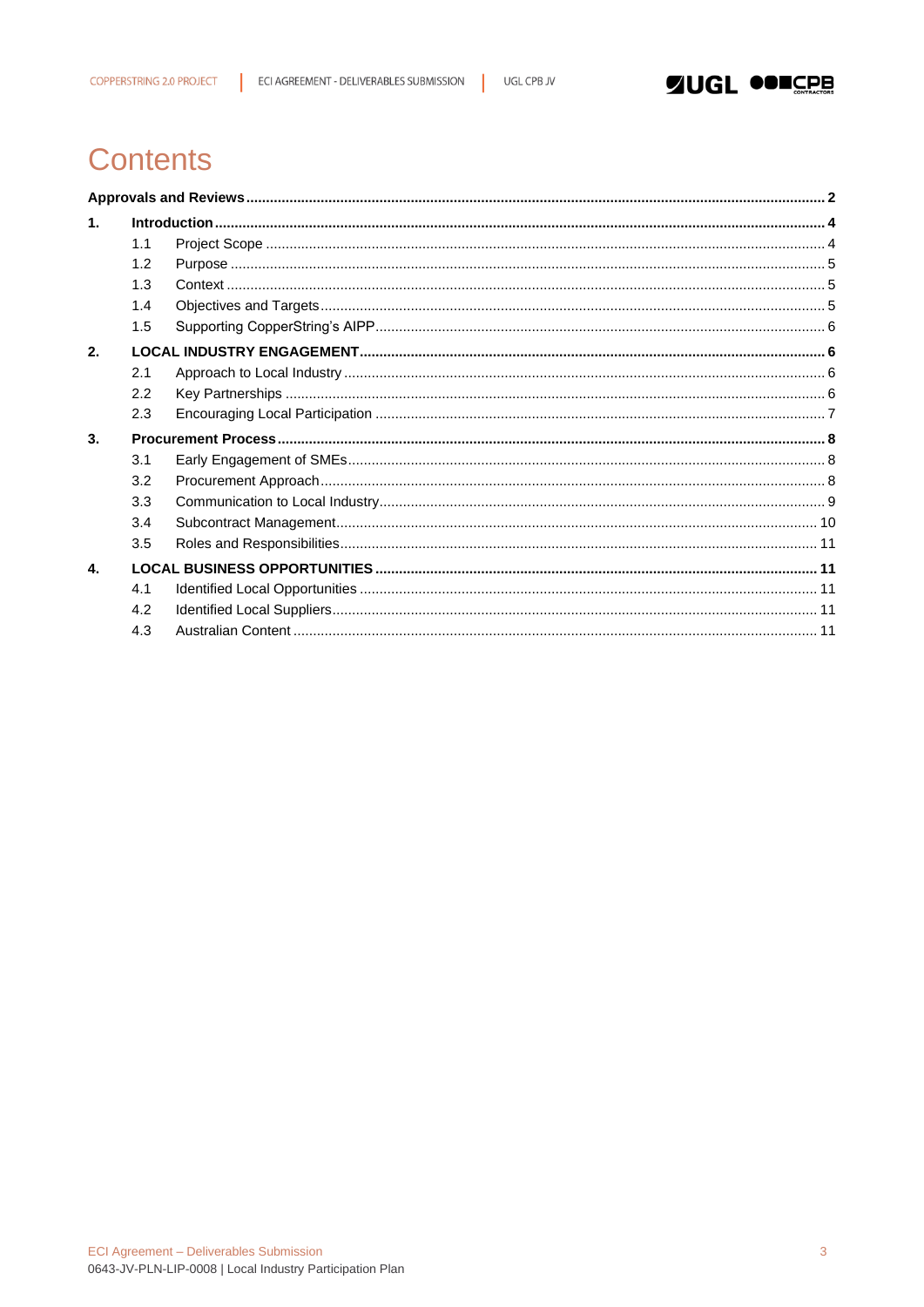1



## **Contents**

| $\mathbf{1}$ . |     |  |
|----------------|-----|--|
|                | 1.1 |  |
|                | 1.2 |  |
|                | 1.3 |  |
|                | 1.4 |  |
|                | 1.5 |  |
| 2.             |     |  |
|                | 2.1 |  |
|                | 2.2 |  |
|                | 2.3 |  |
| 3.             |     |  |
|                | 3.1 |  |
|                | 3.2 |  |
|                | 3.3 |  |
|                | 3.4 |  |
|                | 3.5 |  |
| 4.             |     |  |
|                | 4.1 |  |
|                | 4.2 |  |
|                | 4.3 |  |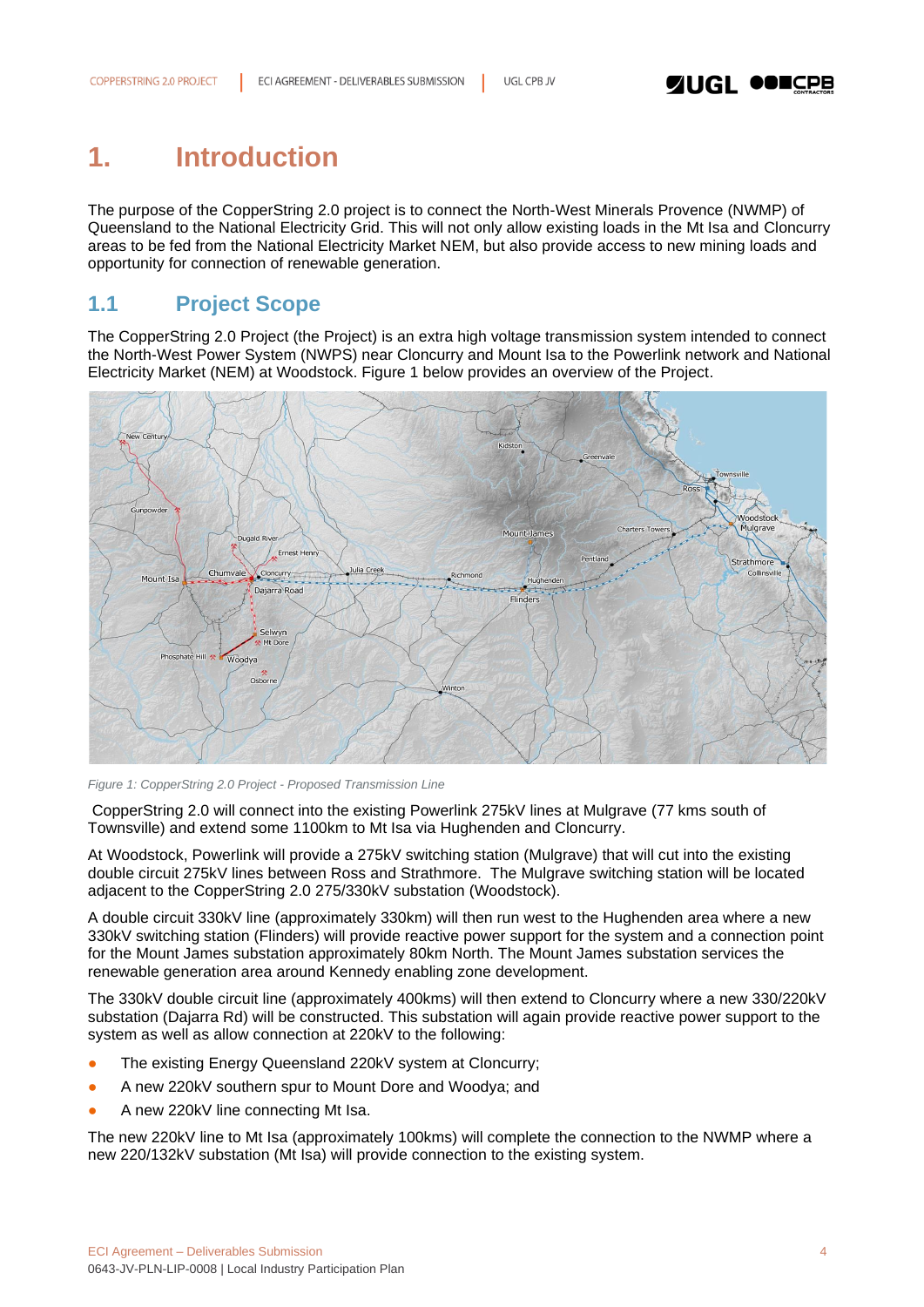### <span id="page-3-0"></span>**1. Introduction**

The purpose of the CopperString 2.0 project is to connect the North-West Minerals Provence (NWMP) of Queensland to the National Electricity Grid. This will not only allow existing loads in the Mt Isa and Cloncurry areas to be fed from the National Electricity Market NEM, but also provide access to new mining loads and opportunity for connection of renewable generation.

### <span id="page-3-1"></span>**1.1 Project Scope**

The CopperString 2.0 Project (the Project) is an extra high voltage transmission system intended to connect the North-West Power System (NWPS) near Cloncurry and Mount Isa to the Powerlink network and National Electricity Market (NEM) at Woodstock. Figure 1 below provides an overview of the Project.



*Figure 1: CopperString 2.0 Project - Proposed Transmission Line*

CopperString 2.0 will connect into the existing Powerlink 275kV lines at Mulgrave (77 kms south of Townsville) and extend some 1100km to Mt Isa via Hughenden and Cloncurry.

At Woodstock, Powerlink will provide a 275kV switching station (Mulgrave) that will cut into the existing double circuit 275kV lines between Ross and Strathmore. The Mulgrave switching station will be located adjacent to the CopperString 2.0 275/330kV substation (Woodstock).

A double circuit 330kV line (approximately 330km) will then run west to the Hughenden area where a new 330kV switching station (Flinders) will provide reactive power support for the system and a connection point for the Mount James substation approximately 80km North. The Mount James substation services the renewable generation area around Kennedy enabling zone development.

The 330kV double circuit line (approximately 400kms) will then extend to Cloncurry where a new 330/220kV substation (Dajarra Rd) will be constructed. This substation will again provide reactive power support to the system as well as allow connection at 220kV to the following:

- The existing Energy Queensland 220kV system at Cloncurry;
- A new 220kV southern spur to Mount Dore and Woodya; and
- A new 220kV line connecting Mt Isa.

The new 220kV line to Mt Isa (approximately 100kms) will complete the connection to the NWMP where a new 220/132kV substation (Mt Isa) will provide connection to the existing system.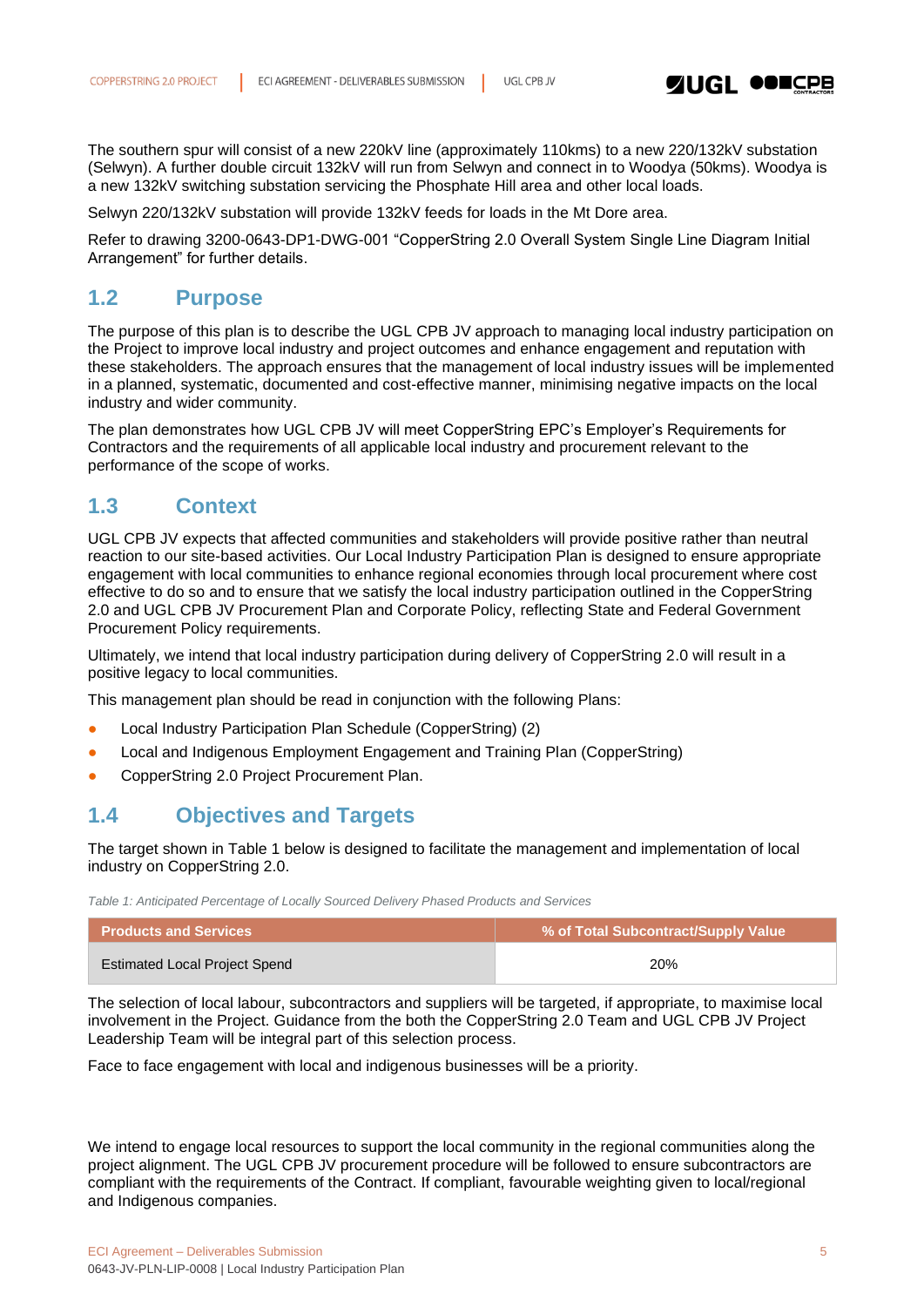

The southern spur will consist of a new 220kV line (approximately 110kms) to a new 220/132kV substation (Selwyn). A further double circuit 132kV will run from Selwyn and connect in to Woodya (50kms). Woodya is a new 132kV switching substation servicing the Phosphate Hill area and other local loads.

Selwyn 220/132kV substation will provide 132kV feeds for loads in the Mt Dore area.

Refer to drawing 3200-0643-DP1-DWG-001 "CopperString 2.0 Overall System Single Line Diagram Initial Arrangement" for further details.

#### <span id="page-4-0"></span>**1.2 Purpose**

The purpose of this plan is to describe the UGL CPB JV approach to managing local industry participation on the Project to improve local industry and project outcomes and enhance engagement and reputation with these stakeholders. The approach ensures that the management of local industry issues will be implemented in a planned, systematic, documented and cost-effective manner, minimising negative impacts on the local industry and wider community.

The plan demonstrates how UGL CPB JV will meet CopperString EPC's Employer's Requirements for Contractors and the requirements of all applicable local industry and procurement relevant to the performance of the scope of works.

### <span id="page-4-1"></span>**1.3 Context**

UGL CPB JV expects that affected communities and stakeholders will provide positive rather than neutral reaction to our site-based activities. Our Local Industry Participation Plan is designed to ensure appropriate engagement with local communities to enhance regional economies through local procurement where cost effective to do so and to ensure that we satisfy the local industry participation outlined in the CopperString 2.0 and UGL CPB JV Procurement Plan and Corporate Policy, reflecting State and Federal Government Procurement Policy requirements.

Ultimately, we intend that local industry participation during delivery of CopperString 2.0 will result in a positive legacy to local communities.

This management plan should be read in conjunction with the following Plans:

- Local Industry Participation Plan Schedule (CopperString) (2)
- Local and Indigenous Employment Engagement and Training Plan (CopperString)
- CopperString 2.0 Project Procurement Plan.

### <span id="page-4-2"></span>**1.4 Objectives and Targets**

The target shown in Table 1 below is designed to facilitate the management and implementation of local industry on CopperString 2.0.

*Table 1: Anticipated Percentage of Locally Sourced Delivery Phased Products and Services*

| <b>Products and Services</b>  | % of Total Subcontract/Supply Value |
|-------------------------------|-------------------------------------|
| Estimated Local Project Spend | <b>20%</b>                          |

The selection of local labour, subcontractors and suppliers will be targeted, if appropriate, to maximise local involvement in the Project. Guidance from the both the CopperString 2.0 Team and UGL CPB JV Project Leadership Team will be integral part of this selection process.

Face to face engagement with local and indigenous businesses will be a priority.

We intend to engage local resources to support the local community in the regional communities along the project alignment. The UGL CPB JV procurement procedure will be followed to ensure subcontractors are compliant with the requirements of the Contract. If compliant, favourable weighting given to local/regional and Indigenous companies.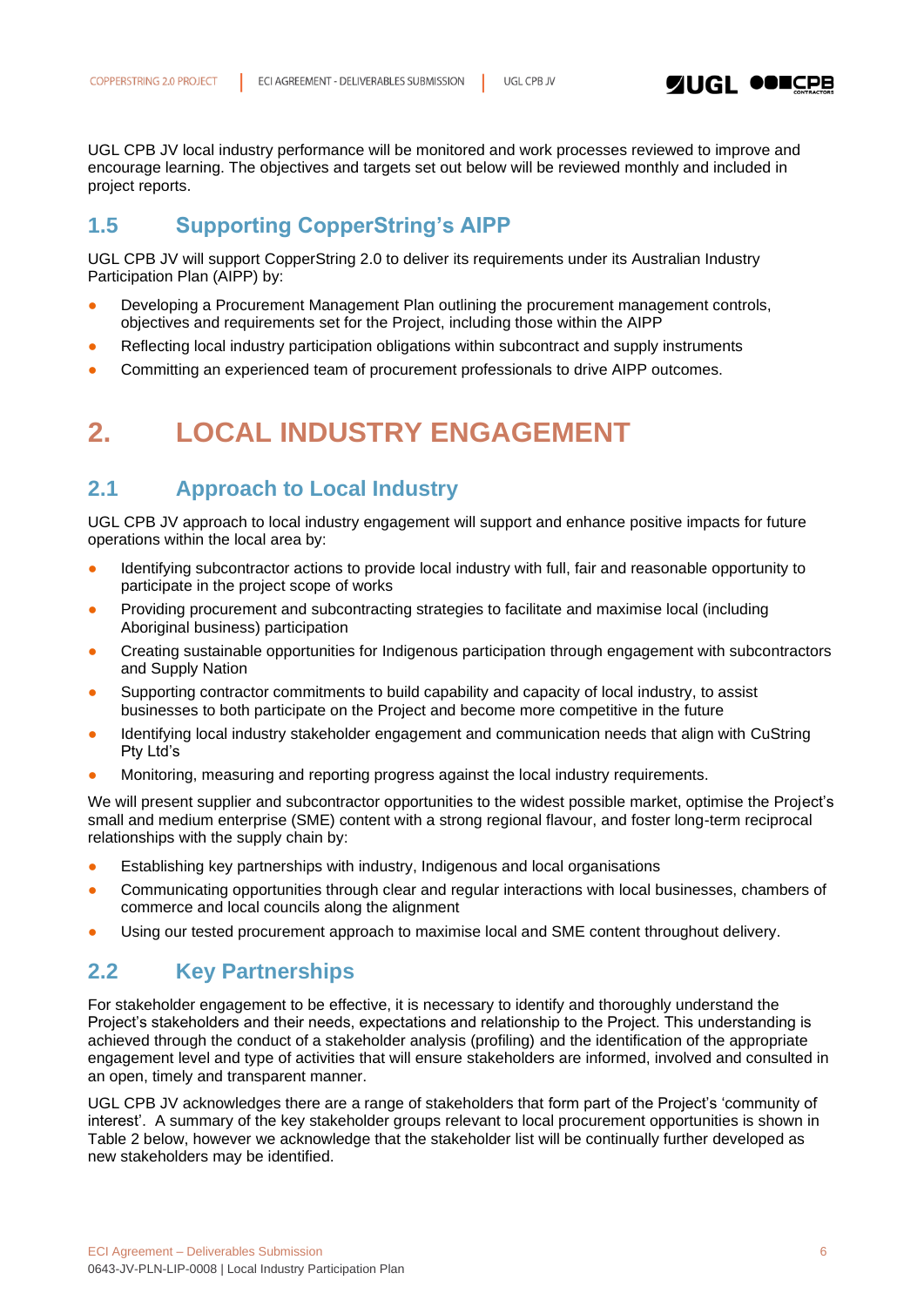

UGL CPB JV local industry performance will be monitored and work processes reviewed to improve and encourage learning. The objectives and targets set out below will be reviewed monthly and included in project reports.

### <span id="page-5-0"></span>**1.5 Supporting CopperString's AIPP**

UGL CPB JV will support CopperString 2.0 to deliver its requirements under its Australian Industry Participation Plan (AIPP) by:

- Developing a Procurement Management Plan outlining the procurement management controls, objectives and requirements set for the Project, including those within the AIPP
- Reflecting local industry participation obligations within subcontract and supply instruments
- <span id="page-5-1"></span>Committing an experienced team of procurement professionals to drive AIPP outcomes.

### **2. LOCAL INDUSTRY ENGAGEMENT**

### <span id="page-5-2"></span>**2.1 Approach to Local Industry**

UGL CPB JV approach to local industry engagement will support and enhance positive impacts for future operations within the local area by:

- Identifying subcontractor actions to provide local industry with full, fair and reasonable opportunity to participate in the project scope of works
- Providing procurement and subcontracting strategies to facilitate and maximise local (including Aboriginal business) participation
- Creating sustainable opportunities for Indigenous participation through engagement with subcontractors and Supply Nation
- Supporting contractor commitments to build capability and capacity of local industry, to assist businesses to both participate on the Project and become more competitive in the future
- Identifying local industry stakeholder engagement and communication needs that align with CuString Pty Ltd's
- Monitoring, measuring and reporting progress against the local industry requirements.

We will present supplier and subcontractor opportunities to the widest possible market, optimise the Project's small and medium enterprise (SME) content with a strong regional flavour, and foster long-term reciprocal relationships with the supply chain by:

- Establishing key partnerships with industry, Indigenous and local organisations
- Communicating opportunities through clear and regular interactions with local businesses, chambers of commerce and local councils along the alignment
- Using our tested procurement approach to maximise local and SME content throughout delivery.

### <span id="page-5-3"></span>**2.2 Key Partnerships**

For stakeholder engagement to be effective, it is necessary to identify and thoroughly understand the Project's stakeholders and their needs, expectations and relationship to the Project. This understanding is achieved through the conduct of a stakeholder analysis (profiling) and the identification of the appropriate engagement level and type of activities that will ensure stakeholders are informed, involved and consulted in an open, timely and transparent manner.

UGL CPB JV acknowledges there are a range of stakeholders that form part of the Project's 'community of interest'. A summary of the key stakeholder groups relevant to local procurement opportunities is shown in Table 2 below, however we acknowledge that the stakeholder list will be continually further developed as new stakeholders may be identified.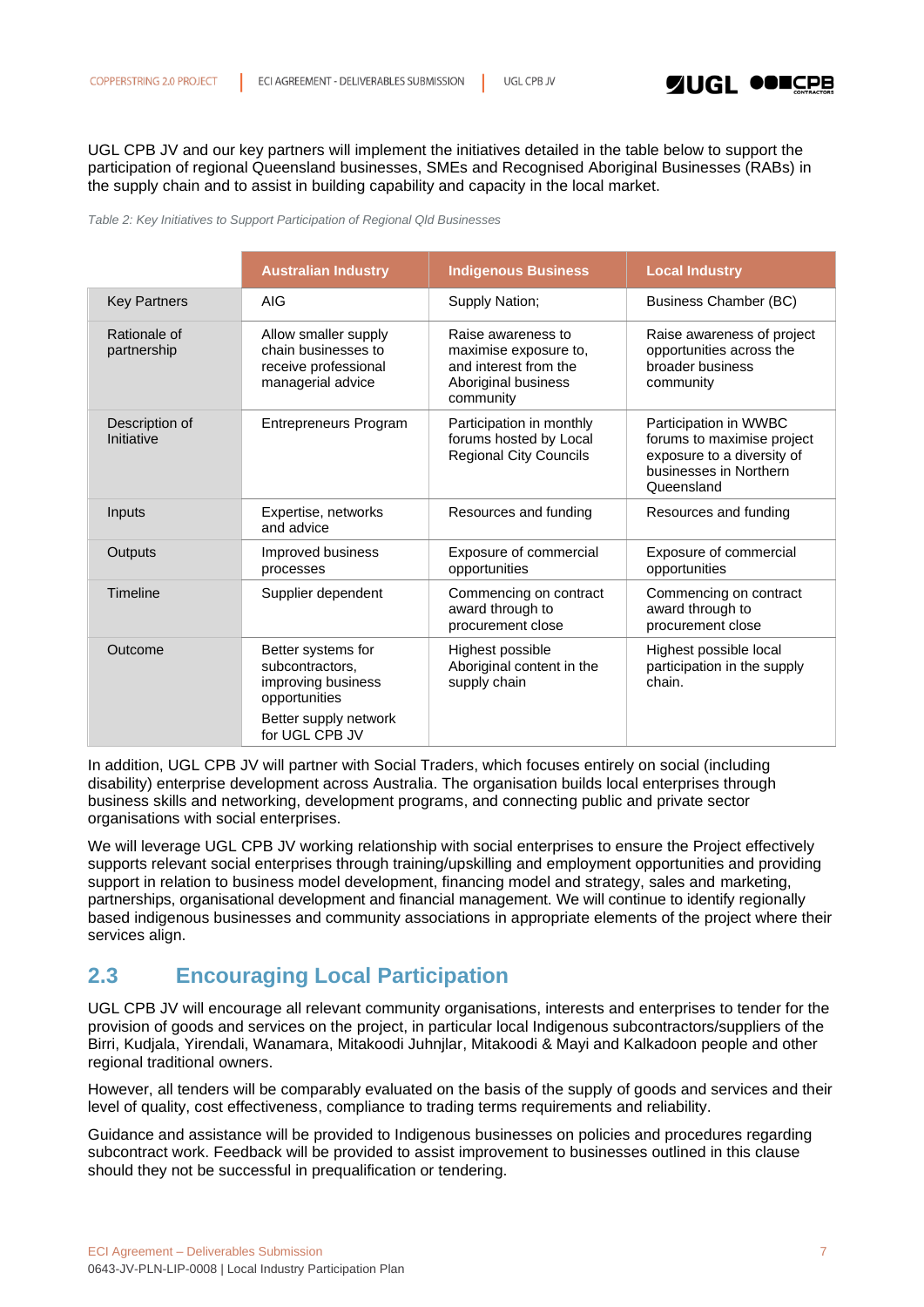

UGL CPB JV and our key partners will implement the initiatives detailed in the table below to support the participation of regional Queensland businesses, SMEs and Recognised Aboriginal Businesses (RABs) in the supply chain and to assist in building capability and capacity in the local market.

#### *Table 2: Key Initiatives to Support Participation of Regional Qld Businesses*

|                              | <b>Australian Industry</b>                                                               | <b>Indigenous Business</b>                                                                               | <b>Local Industry</b>                                                                                                     |
|------------------------------|------------------------------------------------------------------------------------------|----------------------------------------------------------------------------------------------------------|---------------------------------------------------------------------------------------------------------------------------|
| <b>Key Partners</b>          | <b>AIG</b>                                                                               | Supply Nation;                                                                                           | Business Chamber (BC)                                                                                                     |
| Rationale of<br>partnership  | Allow smaller supply<br>chain businesses to<br>receive professional<br>managerial advice | Raise awareness to<br>maximise exposure to,<br>and interest from the<br>Aboriginal business<br>community | Raise awareness of project<br>opportunities across the<br>broader business<br>community                                   |
| Description of<br>Initiative | <b>Entrepreneurs Program</b>                                                             | Participation in monthly<br>forums hosted by Local<br><b>Regional City Councils</b>                      | Participation in WWBC<br>forums to maximise project<br>exposure to a diversity of<br>businesses in Northern<br>Queensland |
| Inputs                       | Expertise, networks<br>and advice                                                        | Resources and funding                                                                                    | Resources and funding                                                                                                     |
| Outputs                      | Improved business<br>processes                                                           | Exposure of commercial<br>opportunities                                                                  | Exposure of commercial<br>opportunities                                                                                   |
| Timeline                     | Supplier dependent                                                                       | Commencing on contract<br>award through to<br>procurement close                                          | Commencing on contract<br>award through to<br>procurement close                                                           |
| Outcome                      | Better systems for<br>subcontractors,<br>improving business<br>opportunities             | Highest possible<br>Aboriginal content in the<br>supply chain                                            | Highest possible local<br>participation in the supply<br>chain.                                                           |
|                              | Better supply network<br>for UGL CPB JV                                                  |                                                                                                          |                                                                                                                           |

In addition, UGL CPB JV will partner with Social Traders, which focuses entirely on social (including disability) enterprise development across Australia. The organisation builds local enterprises through business skills and networking, development programs, and connecting public and private sector organisations with social enterprises.

We will leverage UGL CPB JV working relationship with social enterprises to ensure the Project effectively supports relevant social enterprises through training/upskilling and employment opportunities and providing support in relation to business model development, financing model and strategy, sales and marketing, partnerships, organisational development and financial management. We will continue to identify regionally based indigenous businesses and community associations in appropriate elements of the project where their services align.

### <span id="page-6-0"></span>**2.3 Encouraging Local Participation**

UGL CPB JV will encourage all relevant community organisations, interests and enterprises to tender for the provision of goods and services on the project, in particular local Indigenous subcontractors/suppliers of the Birri, Kudjala, Yirendali, Wanamara, Mitakoodi Juhnjlar, Mitakoodi & Mayi and Kalkadoon people and other regional traditional owners.

However, all tenders will be comparably evaluated on the basis of the supply of goods and services and their level of quality, cost effectiveness, compliance to trading terms requirements and reliability.

Guidance and assistance will be provided to Indigenous businesses on policies and procedures regarding subcontract work. Feedback will be provided to assist improvement to businesses outlined in this clause should they not be successful in prequalification or tendering.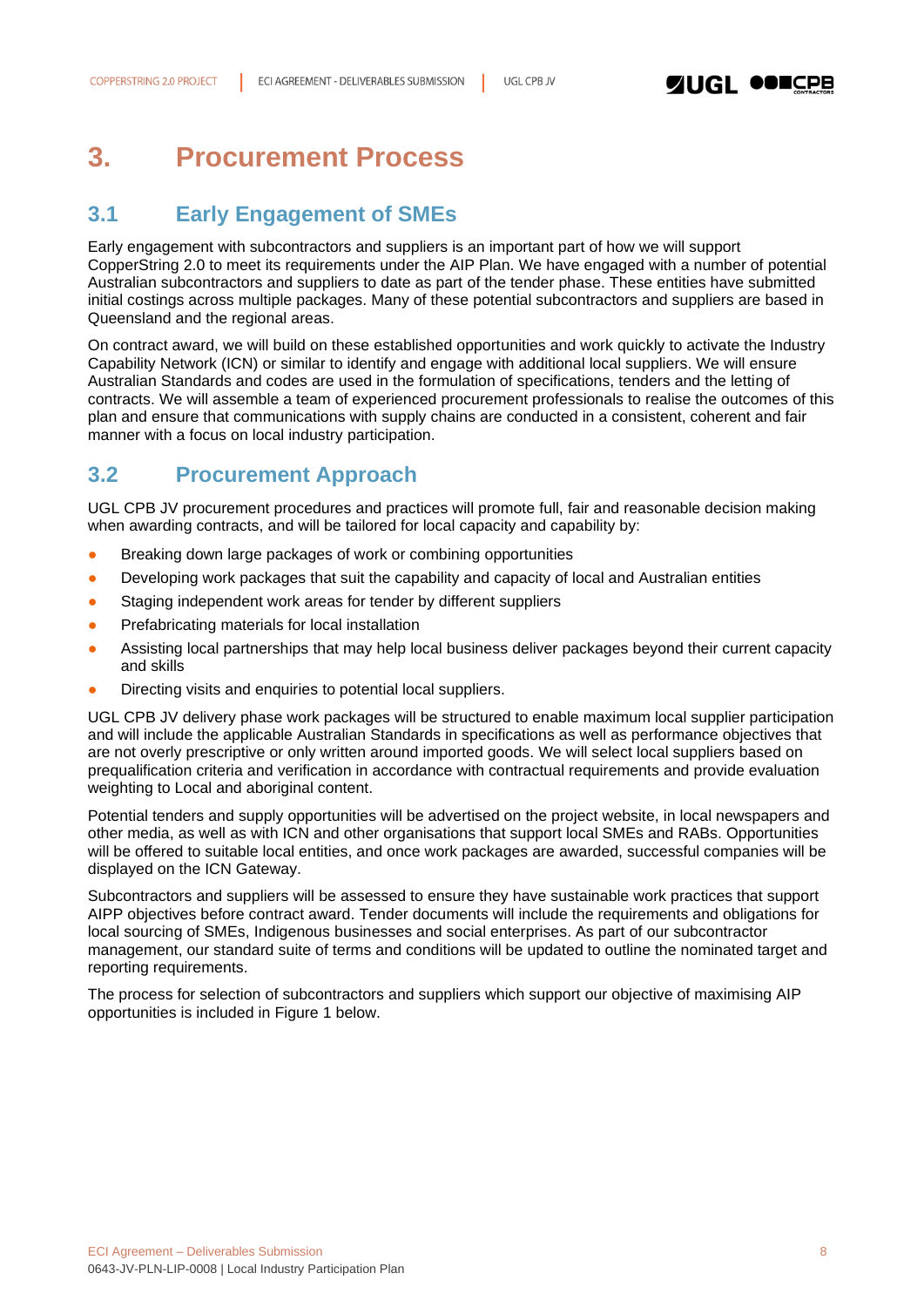

### <span id="page-7-0"></span>**3. Procurement Process**

### <span id="page-7-1"></span>**3.1 Early Engagement of SMEs**

Early engagement with subcontractors and suppliers is an important part of how we will support CopperString 2.0 to meet its requirements under the AIP Plan. We have engaged with a number of potential Australian subcontractors and suppliers to date as part of the tender phase. These entities have submitted initial costings across multiple packages. Many of these potential subcontractors and suppliers are based in Queensland and the regional areas.

On contract award, we will build on these established opportunities and work quickly to activate the Industry Capability Network (ICN) or similar to identify and engage with additional local suppliers. We will ensure Australian Standards and codes are used in the formulation of specifications, tenders and the letting of contracts. We will assemble a team of experienced procurement professionals to realise the outcomes of this plan and ensure that communications with supply chains are conducted in a consistent, coherent and fair manner with a focus on local industry participation.

### <span id="page-7-2"></span>**3.2 Procurement Approach**

UGL CPB JV procurement procedures and practices will promote full, fair and reasonable decision making when awarding contracts, and will be tailored for local capacity and capability by:

- Breaking down large packages of work or combining opportunities
- Developing work packages that suit the capability and capacity of local and Australian entities
- Staging independent work areas for tender by different suppliers
- **•** Prefabricating materials for local installation
- Assisting local partnerships that may help local business deliver packages beyond their current capacity and skills
- Directing visits and enquiries to potential local suppliers.

UGL CPB JV delivery phase work packages will be structured to enable maximum local supplier participation and will include the applicable Australian Standards in specifications as well as performance objectives that are not overly prescriptive or only written around imported goods. We will select local suppliers based on prequalification criteria and verification in accordance with contractual requirements and provide evaluation weighting to Local and aboriginal content.

Potential tenders and supply opportunities will be advertised on the project website, in local newspapers and other media, as well as with ICN and other organisations that support local SMEs and RABs. Opportunities will be offered to suitable local entities, and once work packages are awarded, successful companies will be displayed on the ICN Gateway.

Subcontractors and suppliers will be assessed to ensure they have sustainable work practices that support AIPP objectives before contract award. Tender documents will include the requirements and obligations for local sourcing of SMEs, Indigenous businesses and social enterprises. As part of our subcontractor management, our standard suite of terms and conditions will be updated to outline the nominated target and reporting requirements.

The process for selection of subcontractors and suppliers which support our objective of maximising AIP opportunities is included in Figure 1 below.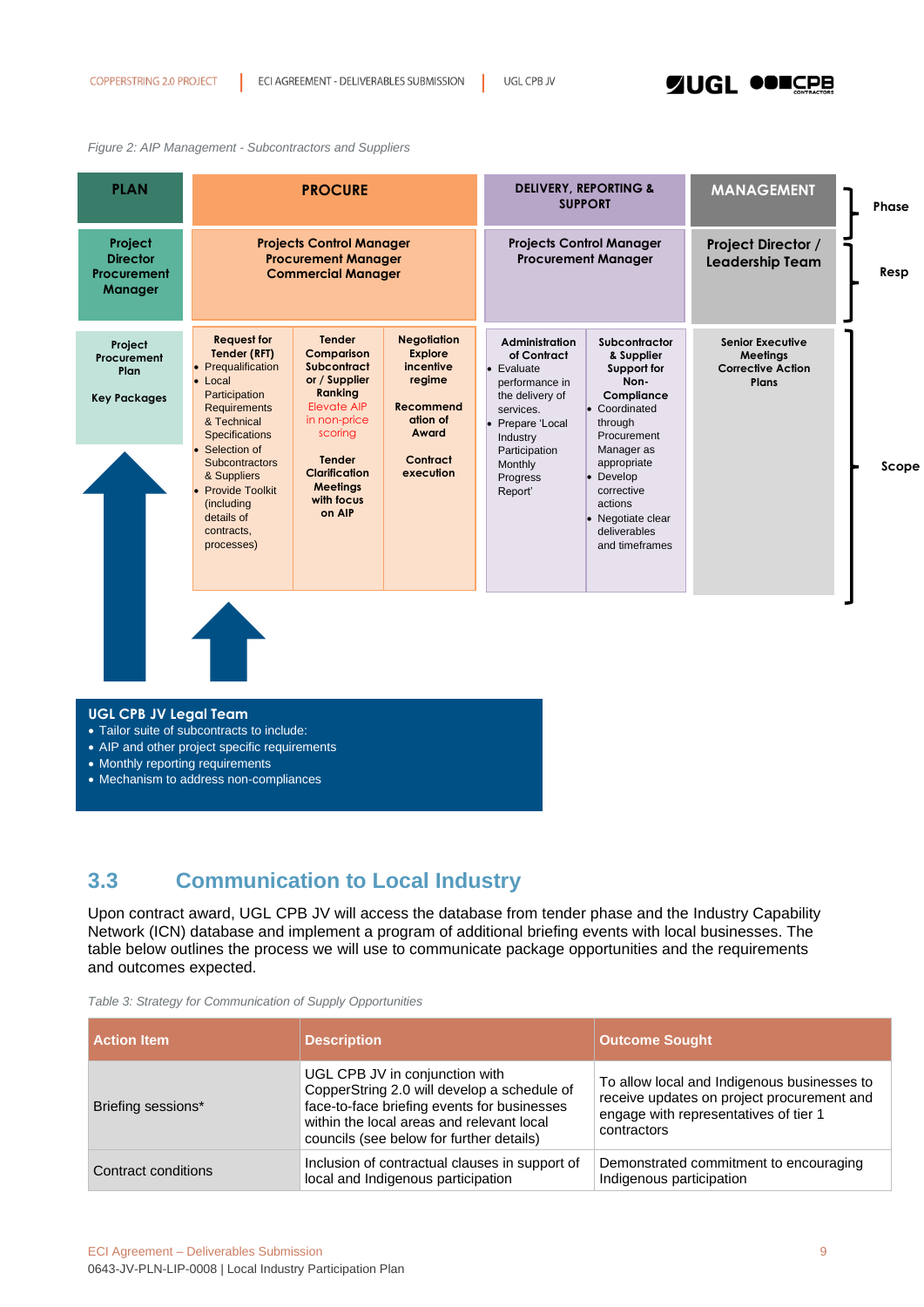### **SINGL ODESPR**

#### *Figure 2: AIP Management - Subcontractors and Suppliers*

| <b>PLAN</b>                                                 |                                                                                                                                                                                                                                                                                              | <b>PROCURE</b>                                                                                                                                                                                              |                                                                                                                 |                                                                                                                                                                                                 | <b>DELIVERY, REPORTING &amp;</b><br><b>SUPPORT</b>                                                                                                                                                                                    | <b>MANAGEMENT</b>                                                        | Phase |
|-------------------------------------------------------------|----------------------------------------------------------------------------------------------------------------------------------------------------------------------------------------------------------------------------------------------------------------------------------------------|-------------------------------------------------------------------------------------------------------------------------------------------------------------------------------------------------------------|-----------------------------------------------------------------------------------------------------------------|-------------------------------------------------------------------------------------------------------------------------------------------------------------------------------------------------|---------------------------------------------------------------------------------------------------------------------------------------------------------------------------------------------------------------------------------------|--------------------------------------------------------------------------|-------|
| Project<br><b>Director</b><br>Procurement<br><b>Manager</b> |                                                                                                                                                                                                                                                                                              | <b>Projects Control Manager</b><br><b>Procurement Manager</b><br><b>Commercial Manager</b>                                                                                                                  |                                                                                                                 |                                                                                                                                                                                                 | <b>Projects Control Manager</b><br><b>Procurement Manager</b>                                                                                                                                                                         | Project Director /<br>Leadership Team                                    | Resp  |
| Project<br>Procurement<br>Plan<br><b>Key Packages</b>       | <b>Request for</b><br>Tender (RFT)<br>Prequalification<br>$\bullet$ Local<br>Participation<br><b>Requirements</b><br>& Technical<br><b>Specifications</b><br>Selection of<br><b>Subcontractors</b><br>& Suppliers<br>Provide Toolkit<br>(including<br>details of<br>contracts.<br>processes) | <b>Tender</b><br>Comparison<br><b>Subcontract</b><br>or / Supplier<br>Ranking<br>Elevate AIP<br>in non-price<br>scoring<br><b>Tender</b><br><b>Clarification</b><br><b>Meetings</b><br>with focus<br>on AIP | <b>Negotiation</b><br>Explore<br>incentive<br>regime<br>Recommend<br>ation of<br>Award<br>Contract<br>execution | <b>Administration</b><br>of Contract<br>$\bullet$ Evaluate<br>performance in<br>the delivery of<br>services.<br>• Prepare 'Local<br>Industry<br>Participation<br>Monthly<br>Progress<br>Report' | Subcontractor<br>& Supplier<br>Support for<br>Non-<br>Compliance<br>• Coordinated<br>through<br>Procurement<br>Manager as<br>appropriate<br>• Develop<br>corrective<br>actions<br>• Negotiate clear<br>deliverables<br>and timeframes | <b>Senior Executive</b><br>Meetings<br><b>Corrective Action</b><br>Plans | Scope |

#### **UGL CPB JV Legal Team**

- Tailor suite of subcontracts to include:
- AIP and other project specific requirements
- Monthly reporting requirements
- Mechanism to address non-compliances

### <span id="page-8-0"></span>**3.3 Communication to Local Industry**

Upon contract award, UGL CPB JV will access the database from tender phase and the Industry Capability Network (ICN) database and implement a program of additional briefing events with local businesses. The table below outlines the process we will use to communicate package opportunities and the requirements and outcomes expected.

| Table 3: Strategy for Communication of Supply Opportunities |  |  |  |  |  |  |  |  |  |  |
|-------------------------------------------------------------|--|--|--|--|--|--|--|--|--|--|
|-------------------------------------------------------------|--|--|--|--|--|--|--|--|--|--|

| <b>Action Item</b>  | <b>Description</b>                                                                                                                                                                                                    | <b>Outcome Sought</b>                                                                                                                             |
|---------------------|-----------------------------------------------------------------------------------------------------------------------------------------------------------------------------------------------------------------------|---------------------------------------------------------------------------------------------------------------------------------------------------|
| Briefing sessions*  | UGL CPB JV in conjunction with<br>CopperString 2.0 will develop a schedule of<br>face-to-face briefing events for businesses<br>within the local areas and relevant local<br>councils (see below for further details) | To allow local and Indigenous businesses to<br>receive updates on project procurement and<br>engage with representatives of tier 1<br>contractors |
| Contract conditions | Inclusion of contractual clauses in support of<br>local and Indigenous participation                                                                                                                                  | Demonstrated commitment to encouraging<br>Indigenous participation                                                                                |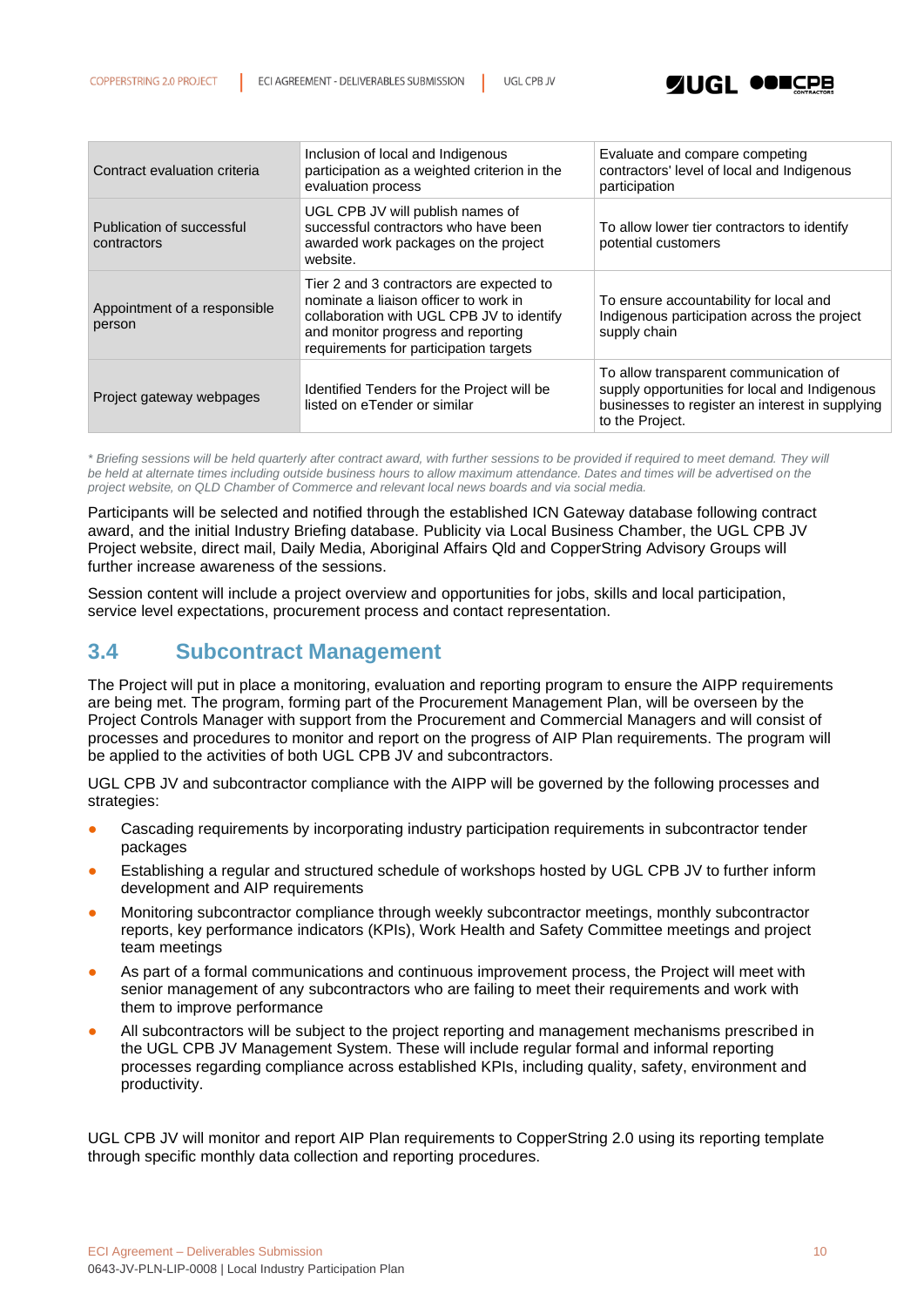

| Contract evaluation criteria             | Inclusion of local and Indigenous<br>participation as a weighted criterion in the<br>evaluation process                                                                                                        | Evaluate and compare competing<br>contractors' level of local and Indigenous<br>participation                                                                |
|------------------------------------------|----------------------------------------------------------------------------------------------------------------------------------------------------------------------------------------------------------------|--------------------------------------------------------------------------------------------------------------------------------------------------------------|
| Publication of successful<br>contractors | UGL CPB JV will publish names of<br>successful contractors who have been<br>awarded work packages on the project<br>website.                                                                                   | To allow lower tier contractors to identify<br>potential customers                                                                                           |
| Appointment of a responsible<br>person   | Tier 2 and 3 contractors are expected to<br>nominate a liaison officer to work in<br>collaboration with UGL CPB JV to identify<br>and monitor progress and reporting<br>requirements for participation targets | To ensure accountability for local and<br>Indigenous participation across the project<br>supply chain                                                        |
| Project gateway webpages                 | Identified Tenders for the Project will be<br>listed on eTender or similar                                                                                                                                     | To allow transparent communication of<br>supply opportunities for local and Indigenous<br>businesses to register an interest in supplying<br>to the Project. |

*\* Briefing sessions will be held quarterly after contract award, with further sessions to be provided if required to meet demand. They will be held at alternate times including outside business hours to allow maximum attendance. Dates and times will be advertised on the project website, on QLD Chamber of Commerce and relevant local news boards and via social media.*

Participants will be selected and notified through the established ICN Gateway database following contract award, and the initial Industry Briefing database. Publicity via Local Business Chamber, the UGL CPB JV Project website, direct mail, Daily Media, Aboriginal Affairs Qld and CopperString Advisory Groups will further increase awareness of the sessions.

Session content will include a project overview and opportunities for jobs, skills and local participation, service level expectations, procurement process and contact representation.

#### <span id="page-9-0"></span>**3.4 Subcontract Management**

The Project will put in place a monitoring, evaluation and reporting program to ensure the AIPP requirements are being met. The program, forming part of the Procurement Management Plan, will be overseen by the Project Controls Manager with support from the Procurement and Commercial Managers and will consist of processes and procedures to monitor and report on the progress of AIP Plan requirements. The program will be applied to the activities of both UGL CPB JV and subcontractors.

UGL CPB JV and subcontractor compliance with the AIPP will be governed by the following processes and strategies:

- Cascading requirements by incorporating industry participation requirements in subcontractor tender packages
- Establishing a regular and structured schedule of workshops hosted by UGL CPB JV to further inform development and AIP requirements
- Monitoring subcontractor compliance through weekly subcontractor meetings, monthly subcontractor reports, key performance indicators (KPIs), Work Health and Safety Committee meetings and project team meetings
- As part of a formal communications and continuous improvement process, the Project will meet with senior management of any subcontractors who are failing to meet their requirements and work with them to improve performance
- All subcontractors will be subject to the project reporting and management mechanisms prescribed in the UGL CPB JV Management System. These will include regular formal and informal reporting processes regarding compliance across established KPIs, including quality, safety, environment and productivity.

UGL CPB JV will monitor and report AIP Plan requirements to CopperString 2.0 using its reporting template through specific monthly data collection and reporting procedures.